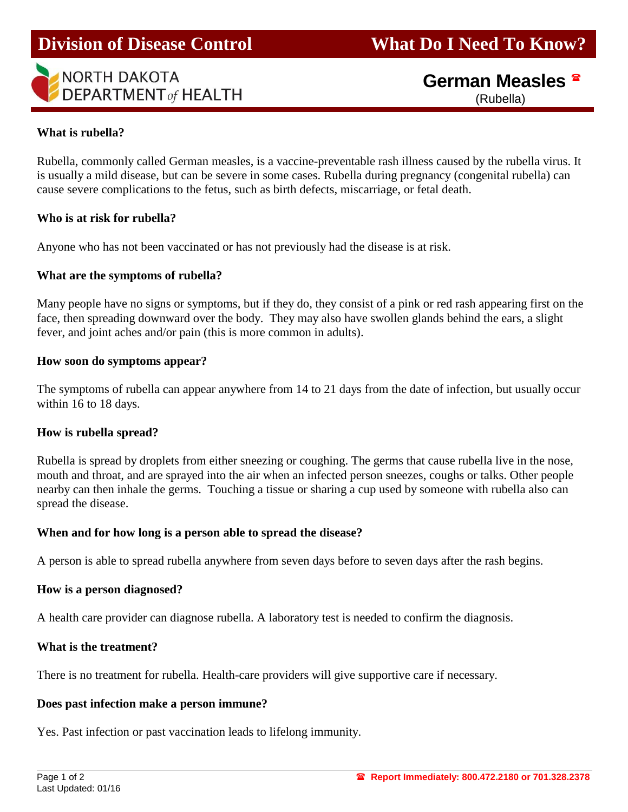# **Division of Disease Control What Do I Need To Know?**

# **NORTH DAKOTA DEPARTMENT** of HEALTH

# **German Measles** (Rubella)

#### **What is rubella?**

ī

Rubella, commonly called German measles, is a vaccine-preventable rash illness caused by the rubella virus. It is usually a mild disease, but can be severe in some cases. Rubella during pregnancy (congenital rubella) can cause severe complications to the fetus, such as birth defects, miscarriage, or fetal death.

#### **Who is at risk for rubella?**

Anyone who has not been vaccinated or has not previously had the disease is at risk.

#### **What are the symptoms of rubella?**

Many people have no signs or symptoms, but if they do, they consist of a pink or red rash appearing first on the face, then spreading downward over the body. They may also have swollen glands behind the ears, a slight fever, and joint aches and/or pain (this is more common in adults).

#### **How soon do symptoms appear?**

The symptoms of rubella can appear anywhere from 14 to 21 days from the date of infection, but usually occur within 16 to 18 days.

#### **How is rubella spread?**

Rubella is spread by droplets from either sneezing or coughing. The germs that cause rubella live in the nose, mouth and throat, and are sprayed into the air when an infected person sneezes, coughs or talks. Other people nearby can then inhale the germs. Touching a tissue or sharing a cup used by someone with rubella also can spread the disease.

## **When and for how long is a person able to spread the disease?**

A person is able to spread rubella anywhere from seven days before to seven days after the rash begins.

## **How is a person diagnosed?**

A health care provider can diagnose rubella. A laboratory test is needed to confirm the diagnosis.

## **What is the treatment?**

There is no treatment for rubella. Health-care providers will give supportive care if necessary.

#### **Does past infection make a person immune?**

Yes. Past infection or past vaccination leads to lifelong immunity.